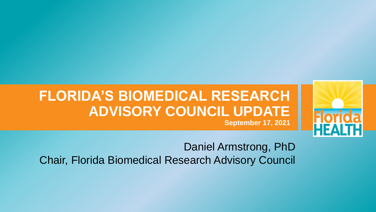#### **FLORIDA'S BIOMEDICAL RESEARCH ADVISORY COUNCIL UPDATE September 17, 2021**

Daniel Armstrong, PhD Chair, Florida Biomedical Research Advisory Council

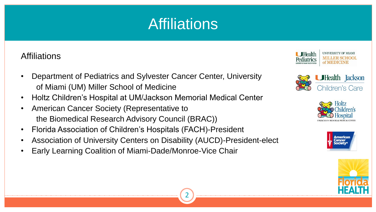#### **Affiliations**

- Department of Pediatrics and Sylvester Cancer Center, University of Miami (UM) Miller School of Medicine
- Holtz Children's Hospital at UM/Jackson Memorial Medical Center
- American Cancer Society (Representative to the Biomedical Research Advisory Council (BRAC))
- Florida Association of Children's Hospitals (FACH)-President
- Association of University Centers on Disability (AUCD)-President-elect
- Early Learning Coalition of Miami-Dade/Monroe-Vice Chair
- 











#### Affiliations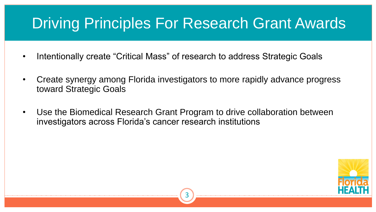

- Intentionally create "Critical Mass" of research to address Strategic Goals
- Create synergy among Florida investigators to more rapidly advance progress toward Strategic Goals
- Use the Biomedical Research Grant Program to drive collaboration between investigators across Florida's cancer research institutions

### Driving Principles For Research Grant Awards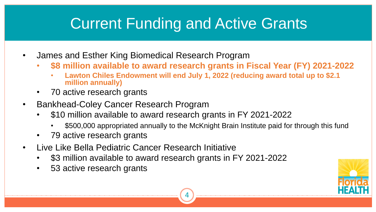• **\$8 million available to award research grants in Fiscal Year (FY) 2021-2022** • **Lawton Chiles Endowment will end July 1, 2022 (reducing award total up to \$2.1** 

- James and Esther King Biomedical Research Program
	- - **million annually)**
	- 70 active research grants
- Bankhead-Coley Cancer Research Program
	- \$10 million available to award research grants in FY 2021-2022
		-
	- 79 active research grants
- Live Like Bella Pediatric Cancer Research Initiative
	- \$3 million available to award research grants in FY 2021-2022
	- 53 active research grants

• \$500,000 appropriated annually to the McKnight Brain Institute paid for through this fund



### Current Funding and Active Grants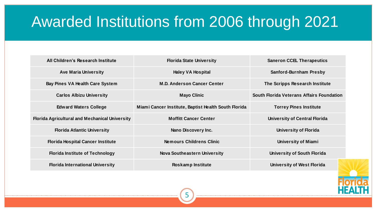

# Awarded Institutions from 2006 through 2021

| All Children's Research Institute                     | <b>Florida State University</b>                      | <b>Saneron CCEL Therapeutics</b>                 |
|-------------------------------------------------------|------------------------------------------------------|--------------------------------------------------|
| <b>Ave Maria University</b>                           | <b>Haley VA Hospital</b>                             | <b>Sanford-Burnham Presby</b>                    |
| <b>Bay Pines VA Health Care System</b>                | <b>M.D. Anderson Cancer Center</b>                   | The Scripps Research Institute                   |
| <b>Carlos Albizu University</b>                       | <b>Mayo Clinic</b>                                   | <b>South Florida Veterans Affairs Foundation</b> |
| <b>Edward Waters College</b>                          | Miami Cancer Institute, Baptist Health South Florida | <b>Torrey Pines Institute</b>                    |
| <b>Florida Agricultural and Mechanical University</b> | <b>Moffitt Cancer Center</b>                         | <b>University of Central Florida</b>             |
| <b>Florida Atlantic University</b>                    | <b>Nano Discovery Inc.</b>                           | <b>University of Florida</b>                     |
| <b>Florida Hospital Cancer Institute</b>              | <b>Nemours Childrens Clinic</b>                      | <b>University of Miami</b>                       |
| <b>Florida Institute of Technology</b>                | <b>Nova Southeastern University</b>                  | <b>University of South Florida</b>               |
| <b>Florida International University</b>               | <b>Roskamp Institute</b>                             | <b>University of West Florida</b>                |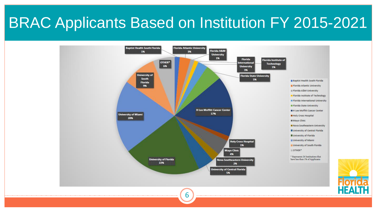

### BRAC Applicants Based on Institution FY 2015-2021

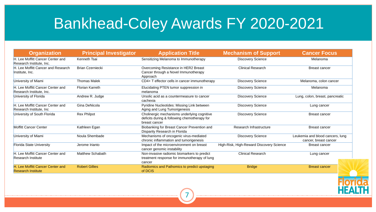

| <b>Kenneth Tsai</b><br><b>Brian Czerniecki</b><br><b>Thomas Malek</b><br><b>Florian Karreth</b><br>Andrew R. Judge | Sensitizing Melanoma to Immunotherapy<br><b>Overcoming Resistance in HER2 Breast</b><br>Cancer through a Novel Immunotherapy<br>Approach<br>CD4+ T effector cells in cancer immunotherapy<br>Elucidating PTEN tumor suppression in<br>melanoma<br>Ursolic acid as a countermeasure to cancer | <b>Discovery Science</b><br><b>Clinical Research</b><br><b>Discovery Science</b><br><b>Discovery Science</b> | Melanoma<br><b>Breast cancer</b><br>Melanoma, colon cancer<br>Melanoma |
|--------------------------------------------------------------------------------------------------------------------|----------------------------------------------------------------------------------------------------------------------------------------------------------------------------------------------------------------------------------------------------------------------------------------------|--------------------------------------------------------------------------------------------------------------|------------------------------------------------------------------------|
|                                                                                                                    |                                                                                                                                                                                                                                                                                              |                                                                                                              |                                                                        |
|                                                                                                                    |                                                                                                                                                                                                                                                                                              |                                                                                                              |                                                                        |
|                                                                                                                    |                                                                                                                                                                                                                                                                                              |                                                                                                              |                                                                        |
|                                                                                                                    |                                                                                                                                                                                                                                                                                              |                                                                                                              |                                                                        |
|                                                                                                                    | cachexia                                                                                                                                                                                                                                                                                     | <b>Discovery Science</b>                                                                                     | Lung, colon, breast, pancreatic                                        |
| Gina DeNicola                                                                                                      | <b>Pyridine Nucleotides: Missing Link between</b>                                                                                                                                                                                                                                            | <b>Discovery Science</b>                                                                                     | Lung cancer                                                            |
| <b>Rex Philpot</b>                                                                                                 | Cholinergic mechanisms underlying cognitive<br>deficits during & following chemotherapy for<br>breast cancer                                                                                                                                                                                 | <b>Discovery Science</b>                                                                                     | <b>Breast cancer</b>                                                   |
| Kathleen Egan                                                                                                      | <b>Biobanking for Breast Cancer Prevention and</b><br><b>Disparity Research in Florida</b>                                                                                                                                                                                                   | Research Infrastructure                                                                                      | <b>Breast cancer</b>                                                   |
| Noula Shembade                                                                                                     | Mechanisms of oncogenic virus-mediated<br>chronic inflammation and tumorigenesis                                                                                                                                                                                                             | <b>Discovery Science</b>                                                                                     | Leukemia and blood cancers, lung<br>cancer, breast cancer              |
| Jerome Irianto                                                                                                     | Impact of the microenvironment on breast<br>cancer genomic instability                                                                                                                                                                                                                       | High-Risk, High-Reward Discovery Science                                                                     | <b>Breast cancer</b>                                                   |
| <b>Matthew Schabath</b>                                                                                            | Non-invasive radiomic biomarkers to predict<br>treatment response for immunotherapy of lung<br>cancer                                                                                                                                                                                        | <b>Clinical Research</b>                                                                                     | Lung cancer                                                            |
| <b>Robert Gillies</b>                                                                                              | Radiomics and Pathomics to predict upstaging<br>of DCIS                                                                                                                                                                                                                                      | <b>Bridge</b>                                                                                                | <b>Breast cancer</b>                                                   |
|                                                                                                                    |                                                                                                                                                                                                                                                                                              | Aging and Lung Tumorigenesis                                                                                 |                                                                        |

#### Bankhead-Coley Awards FY 2020-2021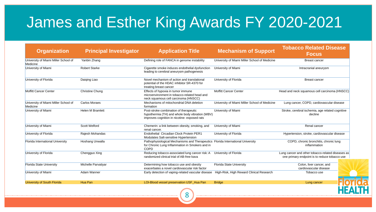| <b>Organization</b>                              | <b>Principal Investigator</b> | <b>Application Title</b>                                                                                                                          | <b>Mechanism of Support</b>                   | <b>Tobacco Related Disease</b><br><b>Focus</b>                                                     |
|--------------------------------------------------|-------------------------------|---------------------------------------------------------------------------------------------------------------------------------------------------|-----------------------------------------------|----------------------------------------------------------------------------------------------------|
| University of Miami Miller School of<br>Medicine | Yanbin Zhang                  | Defining role of FANCA in genome instability                                                                                                      | University of Miami Miller School of Medicine | <b>Breast cancer</b>                                                                               |
| University of Miami                              | <b>Robert Starke</b>          | Cigarette smoke induces endothelial dysfunction<br>leading to cerebral aneurysm pathogenesis                                                      | University of Miami                           | Intracranial aneurysm                                                                              |
| University of Florida                            | Daiqing Liao                  | Novel mechanism of action and translational<br>potential of the HDAC inhibitor SR-4370 for<br>treating breast cancer                              | University of Florida                         | <b>Breast cancer</b>                                                                               |
| <b>Moffitt Cancer Center</b>                     | <b>Christine Chung</b>        | Effects of hypoxia in tumor immune<br>microenvironment in tobacco-related head and<br>neck squamous cell carcinoma (HNSCC)                        | <b>Moffitt Cancer Center</b>                  | Head and neck squamous cell carcinoma (HNSCC)                                                      |
| University of Miami Miller School of<br>Medicine | <b>Carlos Moraes</b>          | Mechanisms of mitochondrial DNA deletion<br>formation                                                                                             | University of Miami Miller School of Medicine | Lung cancer, COPD, cardiovascular disease                                                          |
| University of Miami                              | <b>Helen M Bramlett</b>       | Post-stroke combination of therapeutic<br>hypothermia (TH) and whole body vibration (WBV)<br>improves cognition in nicotine-exposed rats          | University of Miami                           | Stroke, cerebral ischemia, age related cognitive<br>decline                                        |
| University of Miami                              | <b>Scott Welford</b>          | Chemerin: a link between obesity, smoking, and<br>renal cancer.                                                                                   | <b>University of Miami</b>                    | Renal cancer                                                                                       |
| University of Florida                            | Rajesh Mohandas               | Endothelial Circadian Clock Protein PER1<br>Modulates Salt-sensitive Hypertension                                                                 | University of Florida                         | Hypertension, stroke, cardiovascular disease                                                       |
| <b>Florida International University</b>          | Hoshang Unwalla               | Pathophysiological Mechanisms and Therapeutics Florida International University<br>for Chronic Lung Inflammation in Smokers and in<br><b>COPD</b> |                                               | COPD, chronic bronchitis, chronic lung<br>inflammation                                             |
| University of Florida                            | Chengguo Xing                 | Reducing tobacco-associated lung cancer risk: A<br>randomized clinical trial of AB-free kava                                                      | University of Florida                         | Lung cancer and other tobacco-related diseases as<br>one primary endpoint is to reduce tobacco use |
| <b>Florida State University</b>                  | Michelle Parvatiyar           | Determining how tobacco use and obesity<br>exacerbates a novel cardiovascular risk factor                                                         | <b>Florida State University</b>               | Colon, liver cancer, and<br>cardiovascular disease                                                 |
| University of Miami                              | <b>Adam Wanner</b>            | Early detection of vaping-related vascular disease                                                                                                | High-Risk, High Reward Clinical Research      | Tobacco use                                                                                        |
| <b>University of South Florida</b>               | Hua Pan                       | LOI-Blood vessel preservation USF_Hua Pan                                                                                                         | <b>Bridge</b>                                 | Lung cancer                                                                                        |
|                                                  |                               |                                                                                                                                                   |                                               |                                                                                                    |

### James and Esther King Awards FY 2020-2021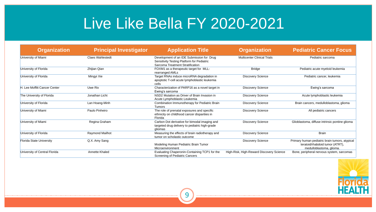

| <b>Organization</b>             | <b>Principal Investigator</b> | <b>Application Title</b>                                                                                                                  | <b>Organization</b>                      | <b>Pediatric Cancer Focus</b>                                                                                 |
|---------------------------------|-------------------------------|-------------------------------------------------------------------------------------------------------------------------------------------|------------------------------------------|---------------------------------------------------------------------------------------------------------------|
| University of Miami             | <b>Claes Wahlestedt</b>       | Development of an IDE Submission for Drug<br><b>Sensitivity Testing Platform for Pediatric</b><br><b>Sarcoma Treatment Stratification</b> | <b>Multicenter Clinical Trials</b>       | Pediatric sarcoma                                                                                             |
| University of Florida           | Zhijian Qian                  | FOXM1 as a therapeutic target for MLL-<br>rearranged AMLs                                                                                 | <b>Bridge</b>                            | Pediatric acute myeloid leukemia                                                                              |
| University of Florida           | Mingyi Xie                    | Target RNAs induce microRNA degradation in<br>apoptotic T-cell acute lymphoblastic leukemia<br>cells                                      | <b>Discovery Science</b>                 | Pediatric cancer, leukemia                                                                                    |
| H. Lee Moffitt Cancer Center    | Uwe Rix                       | Characterization of PARP16 as a novel target in<br>Ewing's sarcoma                                                                        | <b>Discovery Science</b>                 | Ewing's sarcoma                                                                                               |
| The University of Florida       | Jonathan Licht                | NSD2 Mutation as Driver of Brain Invasion in<br>Acute Lymphoblastic Leukemia                                                              | <b>Discovery Science</b>                 | Acute lymphoblastic leukemia                                                                                  |
| University of Florida           | Lan Hoang-Minh                | <b>Combination Immunotherapy for Pediatric Brain</b><br><b>Tumors</b>                                                                     | <b>Discovery Science</b>                 | Brain cancers, medulloblastoma, glioma                                                                        |
| University of Miami             | Paulo Pinheiro                | The role of prenatal exposures and specific<br>ethnicity on childhood cancer disparities in<br>Florida                                    | <b>Discovery Science</b>                 | All pediatric cancers                                                                                         |
| University of Miami             | Regina Graham                 | Carbon Dot derivative for bimodal imaging and<br>targeted drug delivery to pediatric high-grade<br>gliomas                                | <b>Discovery Science</b>                 | Glioblastoma, diffuse intrinsic pontine glioma                                                                |
| University of Florida           | <b>Raymond Mailhot</b>        | Measuring the effects of brain radiotherapy and<br>tumor on scholastic outcome                                                            | <b>Discovery Science</b>                 | <b>Brain</b>                                                                                                  |
| <b>Florida State University</b> | Q.X. Amy Sang                 | Modeling Human Pediatric Brain Tumor<br>Microenvironment                                                                                  | <b>Discovery Science</b>                 | Primary human pediatric brain tumors, atypical<br>teratoid/rhabdoid tumor (ATRT),<br>medulloblastoma, glioma. |
| University of Central Florida   | <b>Annette Khaled</b>         | Evaluating Chaperonin-Containing TCP1 for the<br><b>Screening of Pediatric Cancers</b>                                                    | High-Risk, High-Reward Discovery Science | Bone, peripheral nervous system, sarcomas                                                                     |

### Live Like Bella FY 2020-2021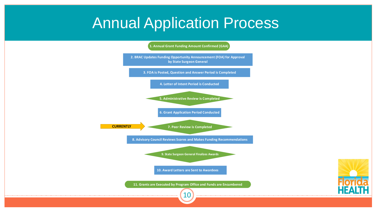#### Annual Application Process

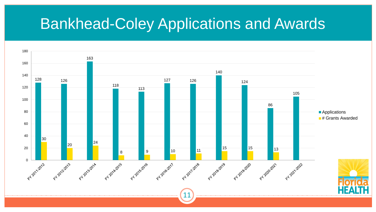#### Bankhead-Coley Applications and Awards

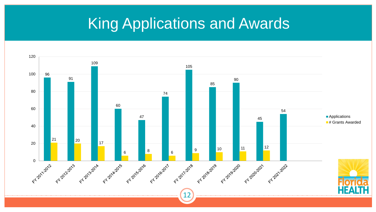# King Applications and Awards

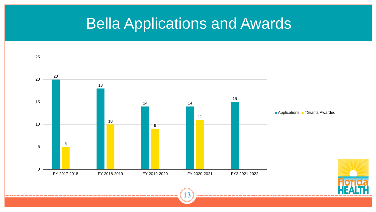#### Bella Applications and Awards

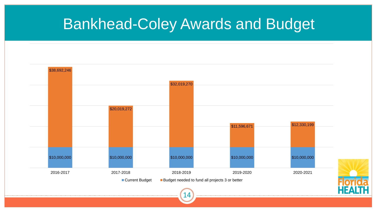### Bankhead-Coley Awards and Budget



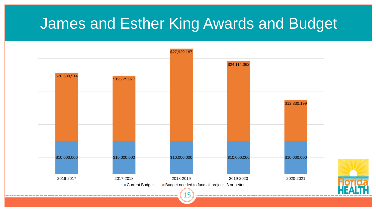#### James and Esther King Awards and Budget



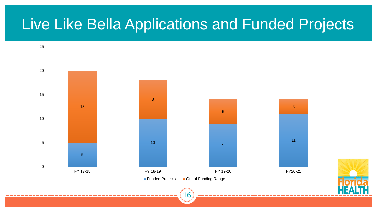#### Live Like Bella Applications and Funded Projects